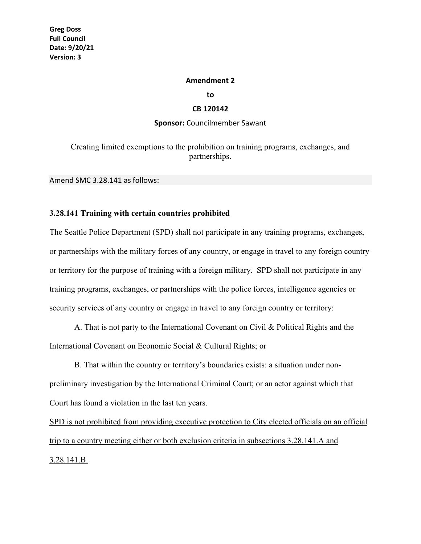## **Amendment 2**

**to**

## **CB 120142**

## **Sponsor:** Councilmember Sawant

Creating limited exemptions to the prohibition on training programs, exchanges, and partnerships.

Amend SMC 3.28.141 as follows:

## **3.28.141 Training with certain countries prohibited**

The Seattle Police Department (SPD) shall not participate in any training programs, exchanges, or partnerships with the military forces of any country, or engage in travel to any foreign country or territory for the purpose of training with a foreign military. SPD shall not participate in any training programs, exchanges, or partnerships with the police forces, intelligence agencies or security services of any country or engage in travel to any foreign country or territory:

A. That is not party to the International Covenant on Civil & Political Rights and the International Covenant on Economic Social & Cultural Rights; or

B. That within the country or territory's boundaries exists: a situation under nonpreliminary investigation by the International Criminal Court; or an actor against which that Court has found a violation in the last ten years.

SPD is not prohibited from providing executive protection to City elected officials on an official trip to a country meeting either or both exclusion criteria in subsections 3.28.141.A and 3.28.141.B.